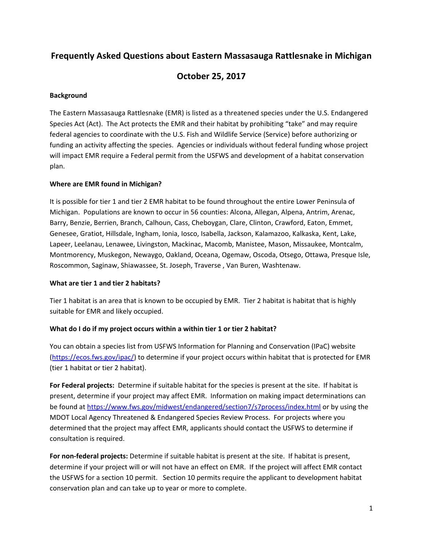# **Frequently Asked Questions about Eastern Massasauga Rattlesnake in Michigan**

# **October 25, 2017**

## **Background**

The Eastern Massasauga Rattlesnake (EMR) is listed as a threatened species under the U.S. Endangered Species Act (Act). The Act protects the EMR and their habitat by prohibiting "take" and may require federal agencies to coordinate with the U.S. Fish and Wildlife Service (Service) before authorizing or funding an activity affecting the species. Agencies or individuals without federal funding whose project will impact EMR require a Federal permit from the USFWS and development of a habitat conservation plan.

#### **Where are EMR found in Michigan?**

It is possible for tier 1 and tier 2 EMR habitat to be found throughout the entire Lower Peninsula of Michigan. Populations are known to occur in 56 counties: Alcona, Allegan, Alpena, Antrim, Arenac, Barry, Benzie, Berrien, Branch, Calhoun, Cass, Cheboygan, Clare, Clinton, Crawford, Eaton, Emmet, Genesee, Gratiot, Hillsdale, Ingham, Ionia, Iosco, Isabella, Jackson, Kalamazoo, Kalkaska, Kent, Lake, Lapeer, Leelanau, Lenawee, Livingston, Mackinac, Macomb, Manistee, Mason, Missaukee, Montcalm, Montmorency, Muskegon, Newaygo, Oakland, Oceana, Ogemaw, Oscoda, Otsego, Ottawa, Presque Isle, Roscommon, Saginaw, Shiawassee, St. Joseph, Traverse , Van Buren, Washtenaw.

#### **What are tier 1 and tier 2 habitats?**

Tier 1 habitat is an area that is known to be occupied by EMR. Tier 2 habitat is habitat that is highly suitable for EMR and likely occupied.

## **What do I do if my project occurs within a within tier 1 or tier 2 habitat?**

You can obtain a species list from USFWS Information for Planning and Conservation (IPaC) website (https://ecos.fws.gov/ipac/) to determine if your project occurs within habitat that is protected for EMR (tier 1 habitat or tier 2 habitat).

**For Federal projects:** Determine if suitable habitat for the species is present at the site. If habitat is present, determine if your project may affect EMR. Information on making impact determinations can be found at https://www.fws.gov/midwest/endangered/section7/s7process/index.html or by using the MDOT Local Agency Threatened & Endangered Species Review Process. For projects where you determined that the project may affect EMR, applicants should contact the USFWS to determine if consultation is required.

**For non‐federal projects:** Determine if suitable habitat is present at the site. If habitat is present, determine if your project will or will not have an effect on EMR. If the project will affect EMR contact the USFWS for a section 10 permit. Section 10 permits require the applicant to development habitat conservation plan and can take up to year or more to complete.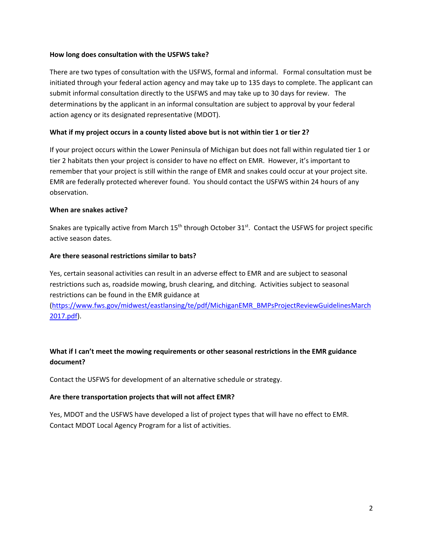#### **How long does consultation with the USFWS take?**

There are two types of consultation with the USFWS, formal and informal. Formal consultation must be initiated through your federal action agency and may take up to 135 days to complete. The applicant can submit informal consultation directly to the USFWS and may take up to 30 days for review. The determinations by the applicant in an informal consultation are subject to approval by your federal action agency or its designated representative (MDOT).

## What if my project occurs in a county listed above but is not within tier 1 or tier 2?

If your project occurs within the Lower Peninsula of Michigan but does not fall within regulated tier 1 or tier 2 habitats then your project is consider to have no effect on EMR. However, it's important to remember that your project is still within the range of EMR and snakes could occur at your project site. EMR are federally protected wherever found. You should contact the USFWS within 24 hours of any observation.

#### **When are snakes active?**

Snakes are typically active from March 15<sup>th</sup> through October 31<sup>st</sup>. Contact the USFWS for project specific active season dates.

## **Are there seasonal restrictions similar to bats?**

Yes, certain seasonal activities can result in an adverse effect to EMR and are subject to seasonal restrictions such as, roadside mowing, brush clearing, and ditching. Activities subject to seasonal restrictions can be found in the EMR guidance at

(https://www.fws.gov/midwest/eastlansing/te/pdf/MichiganEMR\_BMPsProjectReviewGuidelinesMarch 2017.pdf).

# **What if I can't meet the mowing requirements or other seasonal restrictions in the EMR guidance document?**

Contact the USFWS for development of an alternative schedule or strategy.

## **Are there transportation projects that will not affect EMR?**

Yes, MDOT and the USFWS have developed a list of project types that will have no effect to EMR. Contact MDOT Local Agency Program for a list of activities.